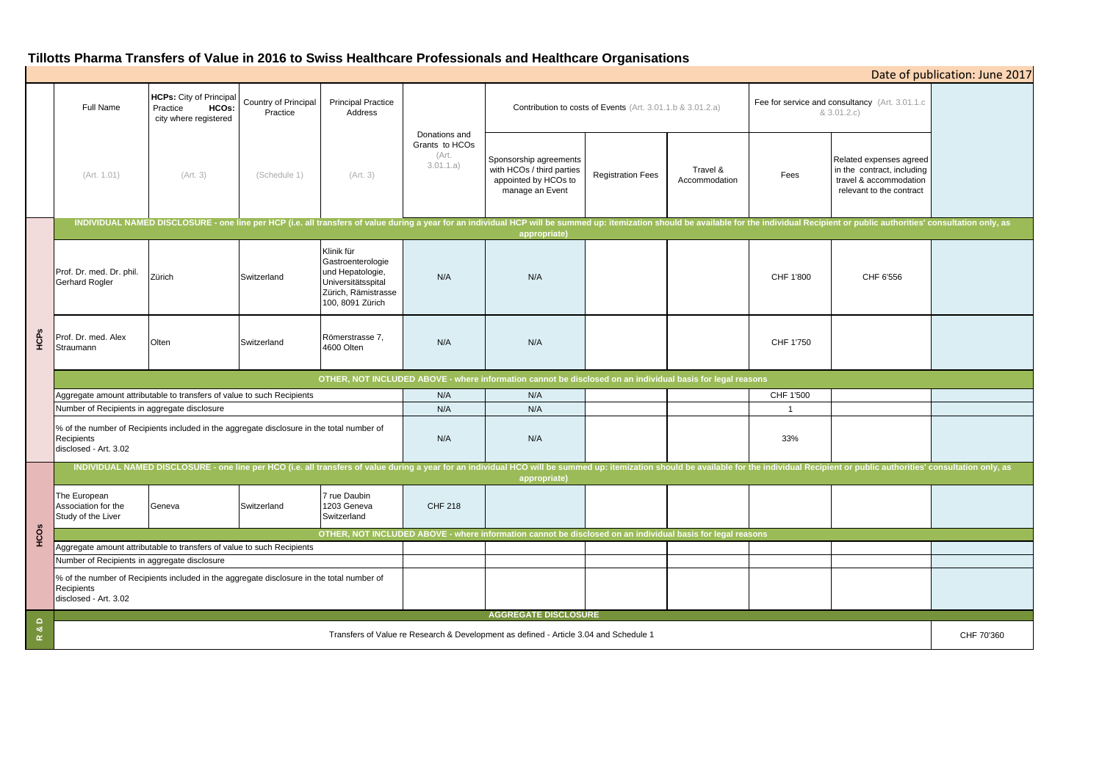# **Tillotts Pharma Transfers of Value in 2016 to Swiss Healthcare Professionals and Healthcare Organisations**

| Date of publication: June 2017 |                                                                                                                                                                                                                                                |                                                                              |                                  |                                                                                                                      |                                                       |                                                                                                |                          |                           |                                                                |                                                                                                             |            |
|--------------------------------|------------------------------------------------------------------------------------------------------------------------------------------------------------------------------------------------------------------------------------------------|------------------------------------------------------------------------------|----------------------------------|----------------------------------------------------------------------------------------------------------------------|-------------------------------------------------------|------------------------------------------------------------------------------------------------|--------------------------|---------------------------|----------------------------------------------------------------|-------------------------------------------------------------------------------------------------------------|------------|
|                                | Full Name                                                                                                                                                                                                                                      | <b>HCPs:</b> City of Principal<br>HCOs:<br>Practice<br>city where registered | Country of Principal<br>Practice | <b>Principal Practice</b><br>Address                                                                                 | Donations and<br>Grants to HCOs<br>(Art.<br>3.01.1.a) | Contribution to costs of Events (Art. 3.01.1.b & 3.01.2.a)                                     |                          |                           | Fee for service and consultancy (Art. 3.01.1.c)<br>8.3.01.2.c) |                                                                                                             |            |
|                                | (Art. 1.01)                                                                                                                                                                                                                                    | (Art. 3)                                                                     | (Schedule 1)                     | (Art. 3)                                                                                                             |                                                       | Sponsorship agreements<br>with HCOs / third parties<br>appointed by HCOs to<br>manage an Event | <b>Registration Fees</b> | Travel &<br>Accommodation | Fees                                                           | Related expenses agreed<br>in the contract, including<br>travel & accommodation<br>relevant to the contract |            |
|                                | INDIVIDUAL NAMED DISCLOSURE - one line per HCP (i.e. all transfers of value during a year for an individual HCP will be summed up: itemization should be available for the individual Recipient or public authorities' consult<br>appropriate) |                                                                              |                                  |                                                                                                                      |                                                       |                                                                                                |                          |                           |                                                                |                                                                                                             |            |
| HCPs                           | Prof. Dr. med. Dr. phil.<br>Gerhard Rogler                                                                                                                                                                                                     | Zürich                                                                       | Switzerland                      | Klinik für<br>Gastroenterologie<br>und Hepatologie,<br>Universitätsspital<br>Zürich, Rämistrasse<br>100, 8091 Zürich | N/A                                                   | N/A                                                                                            |                          |                           | CHF 1'800                                                      | CHF 6'556                                                                                                   |            |
|                                | Prof. Dr. med. Alex<br>Straumann                                                                                                                                                                                                               | Olten                                                                        | Switzerland                      | Römerstrasse 7,<br>4600 Olten                                                                                        | N/A                                                   | N/A                                                                                            |                          |                           | CHF 1'750                                                      |                                                                                                             |            |
|                                | OTHER, NOT INCLUDED ABOVE - where information cannot be disclosed on an individual basis for legal reasons                                                                                                                                     |                                                                              |                                  |                                                                                                                      |                                                       |                                                                                                |                          |                           |                                                                |                                                                                                             |            |
|                                | Aggregate amount attributable to transfers of value to such Recipients                                                                                                                                                                         |                                                                              |                                  |                                                                                                                      | N/A                                                   | N/A                                                                                            |                          |                           | CHF 1'500                                                      |                                                                                                             |            |
|                                | Number of Recipients in aggregate disclosure                                                                                                                                                                                                   |                                                                              |                                  |                                                                                                                      | N/A                                                   | N/A                                                                                            |                          |                           | - 1                                                            |                                                                                                             |            |
|                                | % of the number of Recipients included in the aggregate disclosure in the total number of<br>Recipients<br>disclosed - Art. 3.02                                                                                                               |                                                                              |                                  |                                                                                                                      | N/A                                                   | N/A                                                                                            |                          |                           | 33%                                                            |                                                                                                             |            |
| HCOs                           | INDIVIDUAL NAMED DISCLOSURE - one line per HCO (i.e. all transfers of value during a year for an individual HCO will be summed up: itemization should be available for the individual Recipient or public authorities' consult<br>appropriate) |                                                                              |                                  |                                                                                                                      |                                                       |                                                                                                |                          |                           |                                                                |                                                                                                             |            |
|                                | The European<br>Association for the<br>Study of the Liver                                                                                                                                                                                      | Geneva                                                                       | Switzerland                      | 7 rue Daubin<br>1203 Geneva<br>Switzerland                                                                           | <b>CHF 218</b>                                        |                                                                                                |                          |                           |                                                                |                                                                                                             |            |
|                                | OTHER, NOT INCLUDED ABOVE - where information cannot be disclosed on an individual basis for legal reasons                                                                                                                                     |                                                                              |                                  |                                                                                                                      |                                                       |                                                                                                |                          |                           |                                                                |                                                                                                             |            |
|                                | Aggregate amount attributable to transfers of value to such Recipients                                                                                                                                                                         |                                                                              |                                  |                                                                                                                      |                                                       |                                                                                                |                          |                           |                                                                |                                                                                                             |            |
|                                | Number of Recipients in aggregate disclosure                                                                                                                                                                                                   |                                                                              |                                  |                                                                                                                      |                                                       |                                                                                                |                          |                           |                                                                |                                                                                                             |            |
|                                | % of the number of Recipients included in the aggregate disclosure in the total number of<br>Recipients<br>disclosed - Art. 3.02                                                                                                               |                                                                              |                                  |                                                                                                                      |                                                       |                                                                                                |                          |                           |                                                                |                                                                                                             |            |
| $\Omega$                       | <b>AGGREGATE DISCLOSURE</b>                                                                                                                                                                                                                    |                                                                              |                                  |                                                                                                                      |                                                       |                                                                                                |                          |                           |                                                                |                                                                                                             |            |
| න්<br>$\underline{\alpha}$     | Transfers of Value re Research & Development as defined - Article 3.04 and Schedule 1                                                                                                                                                          |                                                                              |                                  |                                                                                                                      |                                                       |                                                                                                |                          |                           |                                                                |                                                                                                             | CHF 70'360 |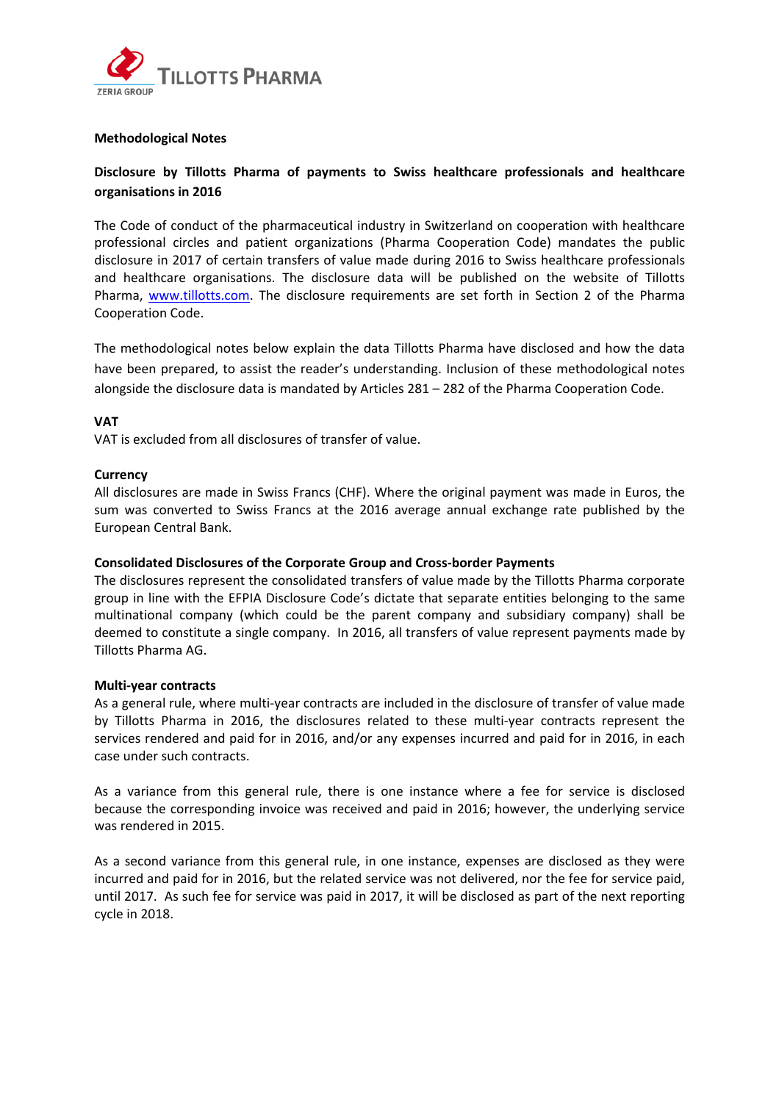

## **Methodological Notes**

## **Disclosure by Tillotts Pharma of payments to Swiss healthcare professionals and healthcare organisations in 2016**

The Code of conduct of the pharmaceutical industry in Switzerland on cooperation with healthcare professional circles and patient organizations (Pharma Cooperation Code) mandates the public disclosure in 2017 of certain transfers of value made during 2016 to Swiss healthcare professionals and healthcare organisations. The disclosure data will be published on the website of Tillotts Pharma, www.tillotts.com. The disclosure requirements are set forth in Section 2 of the Pharma Cooperation Code.

The methodological notes below explain the data Tillotts Pharma have disclosed and how the data have been prepared, to assist the reader's understanding. Inclusion of these methodological notes alongside the disclosure data is mandated by Articles 281 – 282 of the Pharma Cooperation Code.

## **VAT**

VAT is excluded from all disclosures of transfer of value.

## **Currency**

All disclosures are made in Swiss Francs (CHF). Where the original payment was made in Euros, the sum was converted to Swiss Francs at the 2016 average annual exchange rate published by the European Central Bank.

## **Consolidated Disclosures of the Corporate Group and Cross‐border Payments**

The disclosures represent the consolidated transfers of value made by the Tillotts Pharma corporate group in line with the EFPIA Disclosure Code's dictate that separate entities belonging to the same multinational company (which could be the parent company and subsidiary company) shall be deemed to constitute a single company. In 2016, all transfers of value represent payments made by Tillotts Pharma AG.

#### **Multi‐year contracts**

As a general rule, where multi‐year contracts are included in the disclosure of transfer of value made by Tillotts Pharma in 2016, the disclosures related to these multi‐year contracts represent the services rendered and paid for in 2016, and/or any expenses incurred and paid for in 2016, in each case under such contracts.

As a variance from this general rule, there is one instance where a fee for service is disclosed because the corresponding invoice was received and paid in 2016; however, the underlying service was rendered in 2015.

As a second variance from this general rule, in one instance, expenses are disclosed as they were incurred and paid for in 2016, but the related service was not delivered, nor the fee for service paid, until 2017. As such fee for service was paid in 2017, it will be disclosed as part of the next reporting cycle in 2018.